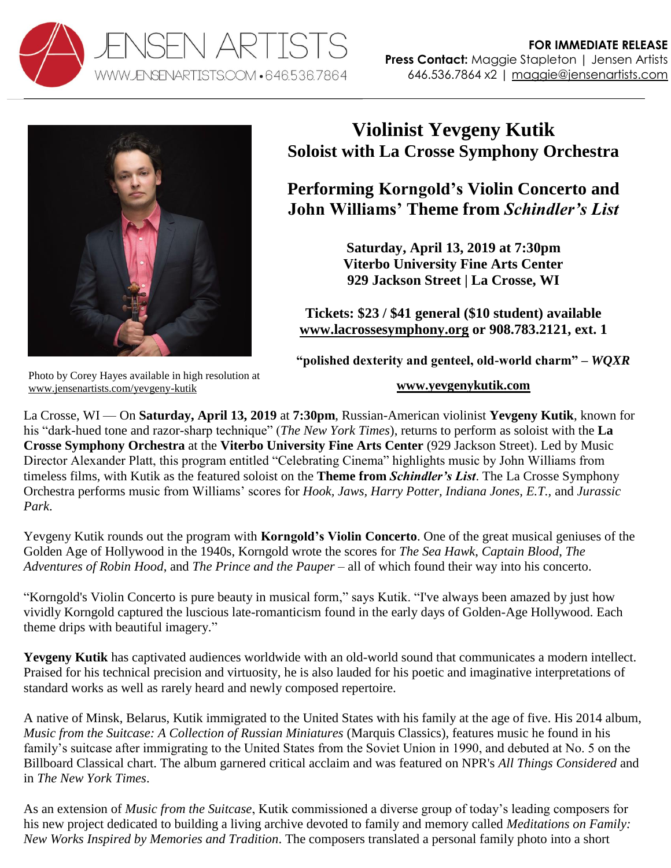



## **Violinist Yevgeny Kutik Soloist with La Crosse Symphony Orchestra**

**Performing Korngold's Violin Concerto and John Williams' Theme from** *Schindler's List*

> **Saturday, April 13, 2019 at 7:30pm Viterbo University Fine Arts Center 929 Jackson Street | La Crosse, WI**

**Tickets: \$23 / \$41 general (\$10 student) available [www.lacrossesymphony.org](https://www.lacrossesymphony.org/concerts/concerts-calendar/#concert5) or 908.783.2121, ext. 1**

**"polished dexterity and genteel, old-world charm" –** *WQXR*

## **[www.yevgenykutik.com](http://www.yevgenykutik.com/)**

Photo by Corey Hayes available in high resolution at [www.jensenartists.com/yevgeny-kutik](http://www.jensenartists.com/yevgeny-kutik)

La Crosse, WI — On **Saturday, April 13, 2019** at **7:30pm**, Russian-American violinist **Yevgeny Kutik**, known for his "dark-hued tone and razor-sharp technique" (*The New York Times*), returns to perform as soloist with the **La Crosse Symphony Orchestra** at the **Viterbo University Fine Arts Center** (929 Jackson Street). Led by Music Director Alexander Platt, this program entitled "Celebrating Cinema" highlights music by John Williams from timeless films, with Kutik as the featured soloist on the **Theme from** *Schindler's List*. The La Crosse Symphony Orchestra performs music from Williams' scores for *Hook, Jaws, Harry Potter, Indiana Jones, E.T.,* and *Jurassic Park*.

Yevgeny Kutik rounds out the program with **Korngold's Violin Concerto**. One of the great musical geniuses of the Golden Age of Hollywood in the 1940s, Korngold wrote the scores for *The Sea Hawk*, *Captain Blood*, *The Adventures of Robin Hood*, and *The Prince and the Pauper* – all of which found their way into his concerto.

"Korngold's Violin Concerto is pure beauty in musical form," says Kutik. "I've always been amazed by just how vividly Korngold captured the luscious late-romanticism found in the early days of Golden-Age Hollywood. Each theme drips with beautiful imagery."

**Yevgeny Kutik** has captivated audiences worldwide with an old-world sound that communicates a modern intellect. Praised for his technical precision and virtuosity, he is also lauded for his poetic and imaginative interpretations of standard works as well as rarely heard and newly composed repertoire.

A native of Minsk, Belarus, Kutik immigrated to the United States with his family at the age of five. His 2014 album, *Music from the Suitcase: A Collection of Russian Miniatures* (Marquis Classics), features music he found in his family's suitcase after immigrating to the United States from the Soviet Union in 1990, and debuted at No. 5 on the Billboard Classical chart. The album garnered critical acclaim and was featured on NPR's *All Things Considered* and in *The New York Times*.

As an extension of *Music from the Suitcase*, Kutik commissioned a diverse group of today's leading composers for his new project dedicated to building a living archive devoted to family and memory called *Meditations on Family: New Works Inspired by Memories and Tradition*. The composers translated a personal family photo into a short